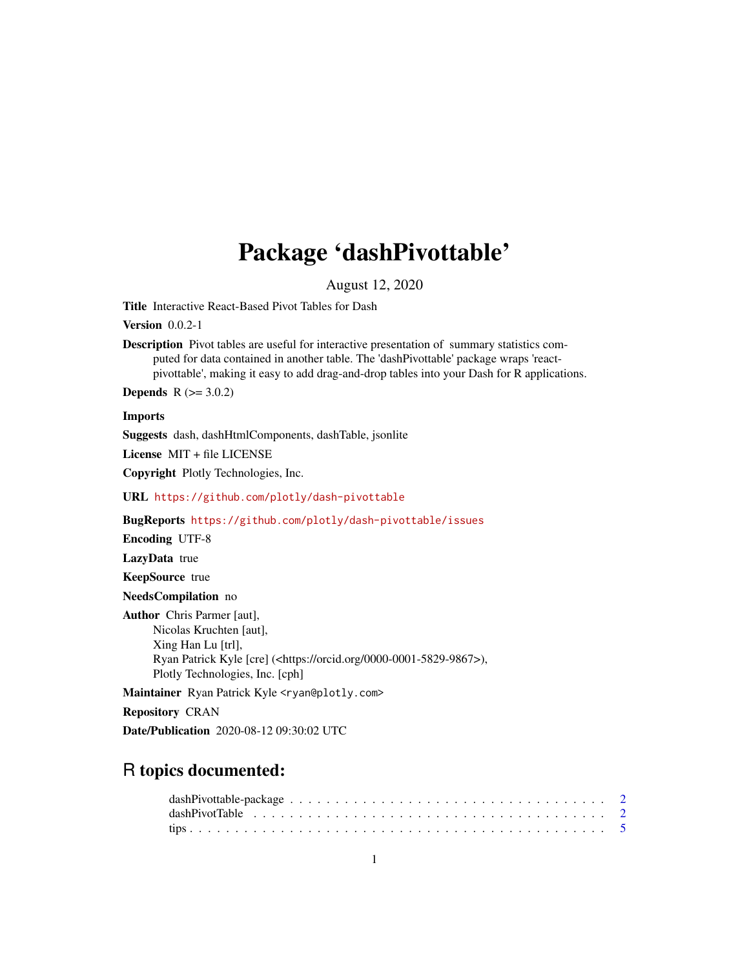## Package 'dashPivottable'

August 12, 2020

Title Interactive React-Based Pivot Tables for Dash

Version 0.0.2-1

Description Pivot tables are useful for interactive presentation of summary statistics computed for data contained in another table. The 'dashPivottable' package wraps 'reactpivottable', making it easy to add drag-and-drop tables into your Dash for R applications.

**Depends**  $R (= 3.0.2)$ 

Imports

Suggests dash, dashHtmlComponents, dashTable, jsonlite

License MIT + file LICENSE

Copyright Plotly Technologies, Inc.

URL <https://github.com/plotly/dash-pivottable>

BugReports <https://github.com/plotly/dash-pivottable/issues>

Encoding UTF-8

LazyData true

KeepSource true

NeedsCompilation no

Author Chris Parmer [aut], Nicolas Kruchten [aut], Xing Han Lu [trl], Ryan Patrick Kyle [cre] (<https://orcid.org/0000-0001-5829-9867>), Plotly Technologies, Inc. [cph]

Maintainer Ryan Patrick Kyle <ryan@plotly.com>

Repository CRAN

Date/Publication 2020-08-12 09:30:02 UTC

### R topics documented: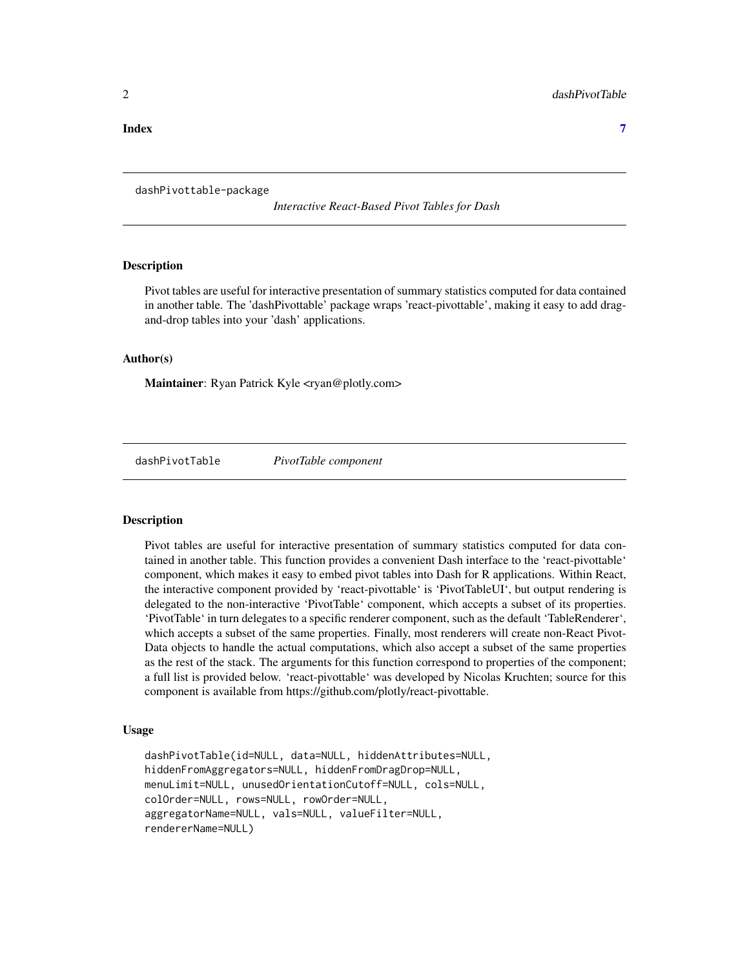#### <span id="page-1-0"></span>**Index** [7](#page-6-0) **7**

dashPivottable-package

*Interactive React-Based Pivot Tables for Dash*

#### Description

Pivot tables are useful for interactive presentation of summary statistics computed for data contained in another table. The 'dashPivottable' package wraps 'react-pivottable', making it easy to add dragand-drop tables into your 'dash' applications.

#### Author(s)

Maintainer: Ryan Patrick Kyle <ryan@plotly.com>

dashPivotTable *PivotTable component*

#### Description

Pivot tables are useful for interactive presentation of summary statistics computed for data contained in another table. This function provides a convenient Dash interface to the 'react-pivottable' component, which makes it easy to embed pivot tables into Dash for R applications. Within React, the interactive component provided by 'react-pivottable' is 'PivotTableUI', but output rendering is delegated to the non-interactive 'PivotTable' component, which accepts a subset of its properties. 'PivotTable' in turn delegates to a specific renderer component, such as the default 'TableRenderer', which accepts a subset of the same properties. Finally, most renderers will create non-React Pivot-Data objects to handle the actual computations, which also accept a subset of the same properties as the rest of the stack. The arguments for this function correspond to properties of the component; a full list is provided below. 'react-pivottable' was developed by Nicolas Kruchten; source for this component is available from https://github.com/plotly/react-pivottable.

#### Usage

```
dashPivotTable(id=NULL, data=NULL, hiddenAttributes=NULL,
hiddenFromAggregators=NULL, hiddenFromDragDrop=NULL,
menuLimit=NULL, unusedOrientationCutoff=NULL, cols=NULL,
colOrder=NULL, rows=NULL, rowOrder=NULL,
aggregatorName=NULL, vals=NULL, valueFilter=NULL,
rendererName=NULL)
```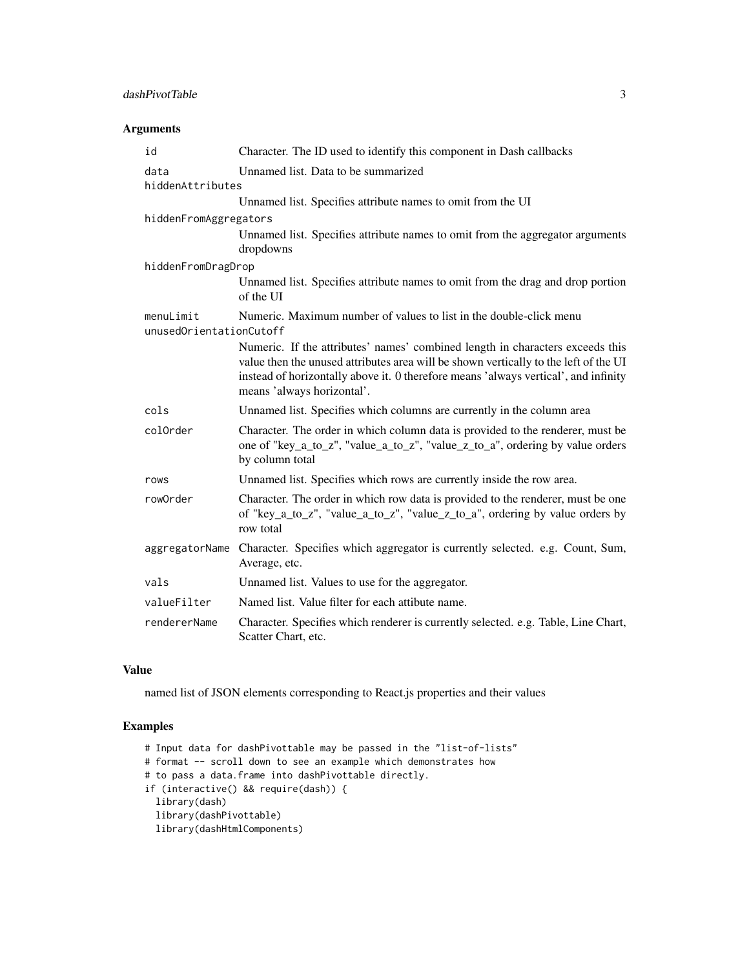#### dashPivotTable 3

#### Arguments

| id                                   | Character. The ID used to identify this component in Dash callbacks                                                                                                                                                                                                                        |
|--------------------------------------|--------------------------------------------------------------------------------------------------------------------------------------------------------------------------------------------------------------------------------------------------------------------------------------------|
| data                                 | Unnamed list. Data to be summarized                                                                                                                                                                                                                                                        |
| hiddenAttributes                     |                                                                                                                                                                                                                                                                                            |
|                                      | Unnamed list. Specifies attribute names to omit from the UI                                                                                                                                                                                                                                |
| hiddenFromAggregators                |                                                                                                                                                                                                                                                                                            |
|                                      | Unnamed list. Specifies attribute names to omit from the aggregator arguments<br>dropdowns                                                                                                                                                                                                 |
| hiddenFromDragDrop                   |                                                                                                                                                                                                                                                                                            |
|                                      | Unnamed list. Specifies attribute names to omit from the drag and drop portion<br>of the UI                                                                                                                                                                                                |
| menuLimit<br>unusedOrientationCutoff | Numeric. Maximum number of values to list in the double-click menu                                                                                                                                                                                                                         |
|                                      | Numeric. If the attributes' names' combined length in characters exceeds this<br>value then the unused attributes area will be shown vertically to the left of the UI<br>instead of horizontally above it. 0 therefore means 'always vertical', and infinity<br>means 'always horizontal'. |
| cols                                 | Unnamed list. Specifies which columns are currently in the column area                                                                                                                                                                                                                     |
| colOrder                             | Character. The order in which column data is provided to the renderer, must be<br>one of "key_a_to_z", "value_a_to_z", "value_z_to_a", ordering by value orders<br>by column total                                                                                                         |
| rows                                 | Unnamed list. Specifies which rows are currently inside the row area.                                                                                                                                                                                                                      |
| rowOrder                             | Character. The order in which row data is provided to the renderer, must be one<br>of "key_a_to_z", "value_a_to_z", "value_z_to_a", ordering by value orders by<br>row total                                                                                                               |
| aggregatorName                       | Character. Specifies which aggregator is currently selected. e.g. Count, Sum,<br>Average, etc.                                                                                                                                                                                             |
| vals                                 | Unnamed list. Values to use for the aggregator.                                                                                                                                                                                                                                            |
| valueFilter                          | Named list. Value filter for each attibute name.                                                                                                                                                                                                                                           |
| rendererName                         | Character. Specifies which renderer is currently selected. e.g. Table, Line Chart,<br>Scatter Chart, etc.                                                                                                                                                                                  |

#### Value

named list of JSON elements corresponding to React.js properties and their values

#### Examples

```
# Input data for dashPivottable may be passed in the "list-of-lists"
# format -- scroll down to see an example which demonstrates how
# to pass a data.frame into dashPivottable directly.
if (interactive() && require(dash)) {
 library(dash)
  library(dashPivottable)
  library(dashHtmlComponents)
```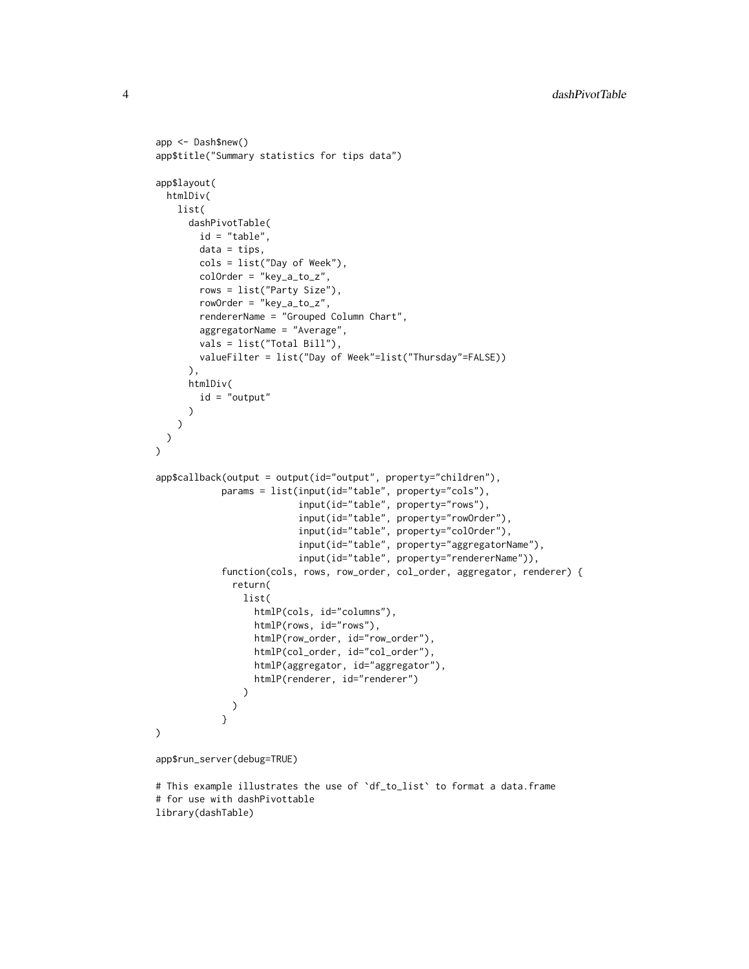```
app <- Dash$new()
app$title("Summary statistics for tips data")
app$layout(
 htmlDiv(
    list(
      dashPivotTable(
        id = "table".data = tips,cols = list("Day of Week"),
        colOrder = "key_a_to_z",
        rows = list("Party Size"),
        rowOrder = "key_a_to_z",
        rendererName = "Grouped Column Chart",
        aggregatorName = "Average",
        vals = list("Total Bill"),
        valueFilter = list("Day of Week"=list("Thursday"=FALSE))
      ),
      htmlDiv(
        id = "output"
      \lambda)
 )
\lambdaapp$callback(output = output(id="output", property="children"),
            params = list(input(id="table", property="cols"),
                          input(id="table", property="rows"),
                          input(id="table", property="rowOrder"),
                          input(id="table", property="colOrder"),
                          input(id="table", property="aggregatorName"),
                          input(id="table", property="rendererName")),
            function(cols, rows, row_order, col_order, aggregator, renderer) {
              return(
                list(
                  htmlP(cols, id="columns"),
                  htmlP(rows, id="rows"),
                  htmlP(row_order, id="row_order"),
                  htmlP(col_order, id="col_order"),
                  htmlP(aggregator, id="aggregator"),
                  htmlP(renderer, id="renderer")
                )
              )
            }
)
app$run_server(debug=TRUE)
```
# This example illustrates the use of `df\_to\_list` to format a data.frame # for use with dashPivottable library(dashTable)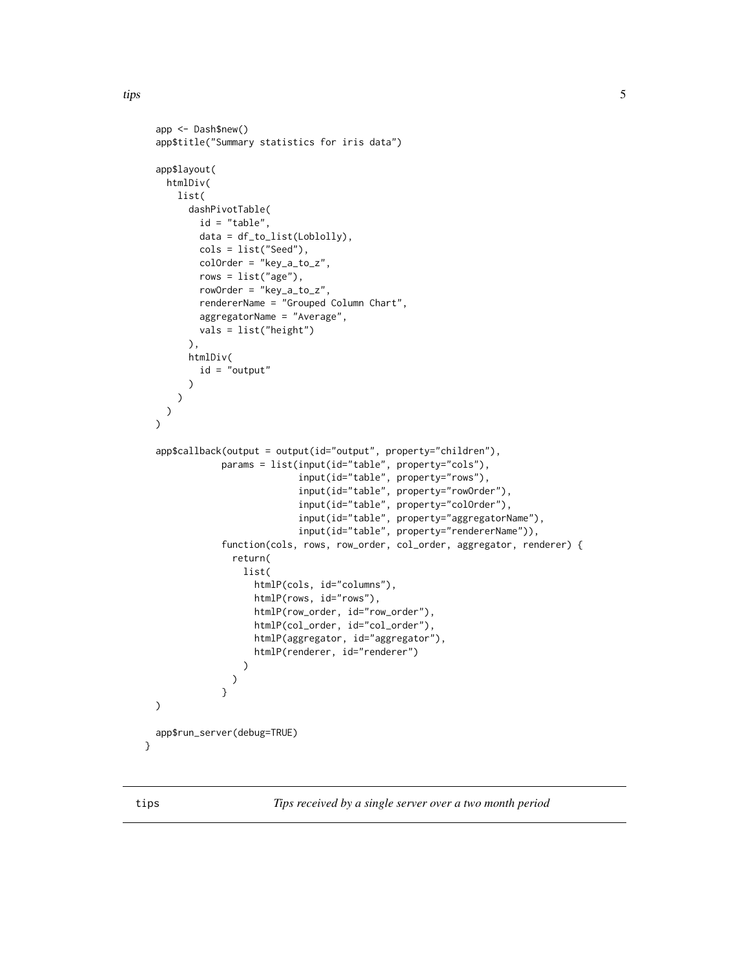```
app <- Dash$new()
 app$title("Summary statistics for iris data")
 app$layout(
   htmlDiv(
     list(
        dashPivotTable(
          id = "table",
         data = df_to_list(Loblolly),
         cols = list("Seed"),
          colOrder = "key_a_to_z",
          rows = list("age"),rowOrder = "key_a_to_z",
          rendererName = "Grouped Column Chart",
          aggregatorName = "Average",
         vals = list("height")
       ),
       htmlDiv(
          id = "output"
       )
     )
   )
 \lambdaapp$callback(output = output(id="output", property="children"),
              params = list(input(id="table", property="cols"),
                             input(id="table", property="rows"),
                            input(id="table", property="rowOrder"),
                            input(id="table", property="colOrder"),
                            input(id="table", property="aggregatorName"),
                            input(id="table", property="rendererName")),
              function(cols, rows, row_order, col_order, aggregator, renderer) {
                return(
                  list(
                    htmlP(cols, id="columns"),
                    htmlP(rows, id="rows"),
                    htmlP(row_order, id="row_order"),
                    htmlP(col_order, id="col_order"),
                    htmlP(aggregator, id="aggregator"),
                    htmlP(renderer, id="renderer")
                  )
                )
              }
 )
 app$run_server(debug=TRUE)
}
```
tips *Tips received by a single server over a two month period*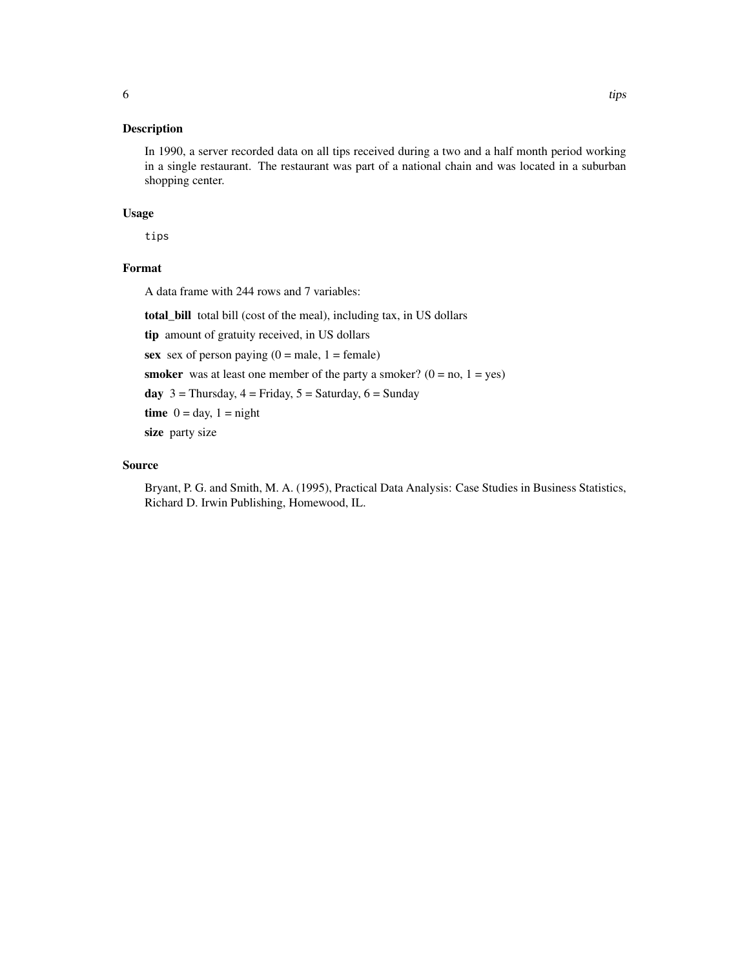#### Description

In 1990, a server recorded data on all tips received during a two and a half month period working in a single restaurant. The restaurant was part of a national chain and was located in a suburban shopping center.

#### Usage

tips

#### Format

A data frame with 244 rows and 7 variables:

total\_bill total bill (cost of the meal), including tax, in US dollars

tip amount of gratuity received, in US dollars

sex sex of person paying  $(0 = male, 1 = female)$ 

**smoker** was at least one member of the party a smoker?  $(0 = no, 1 = yes)$ 

day  $3 =$  Thursday,  $4 =$  Friday,  $5 =$  Saturday,  $6 =$  Sunday

time  $0 = day$ ,  $1 = night$ 

size party size

#### Source

Bryant, P. G. and Smith, M. A. (1995), Practical Data Analysis: Case Studies in Business Statistics, Richard D. Irwin Publishing, Homewood, IL.